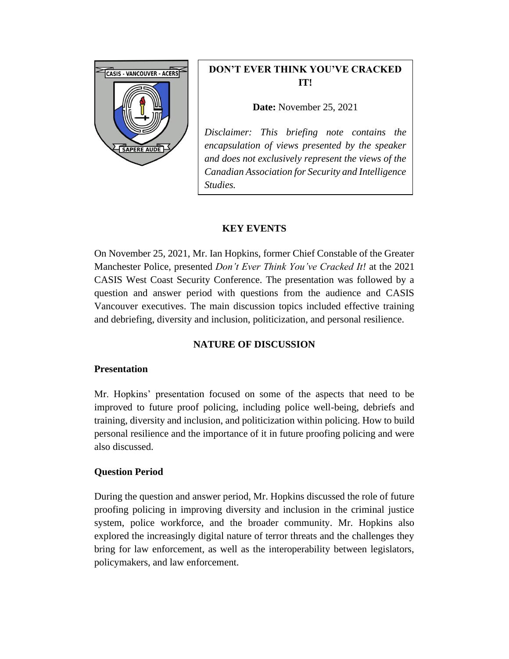

# **DON'T EVER THINK YOU'VE CRACKED IT!**

**Date:** November 25, 2021

*Disclaimer: This briefing note contains the encapsulation of views presented by the speaker and does not exclusively represent the views of the Canadian Association for Security and Intelligence Studies.* 

## **KEY EVENTS**

On November 25, 2021, Mr. Ian Hopkins, former Chief Constable of the Greater Manchester Police, presented *Don't Ever Think You've Cracked It!* at the 2021 CASIS West Coast Security Conference. The presentation was followed by a question and answer period with questions from the audience and CASIS Vancouver executives. The main discussion topics included effective training and debriefing, diversity and inclusion, politicization, and personal resilience.

# **NATURE OF DISCUSSION**

#### **Presentation**

Mr. Hopkins' presentation focused on some of the aspects that need to be improved to future proof policing, including police well-being, debriefs and training, diversity and inclusion, and politicization within policing. How to build personal resilience and the importance of it in future proofing policing and were also discussed.

### **Question Period**

During the question and answer period, Mr. Hopkins discussed the role of future proofing policing in improving diversity and inclusion in the criminal justice system, police workforce, and the broader community. Mr. Hopkins also explored the increasingly digital nature of terror threats and the challenges they bring for law enforcement, as well as the interoperability between legislators, policymakers, and law enforcement.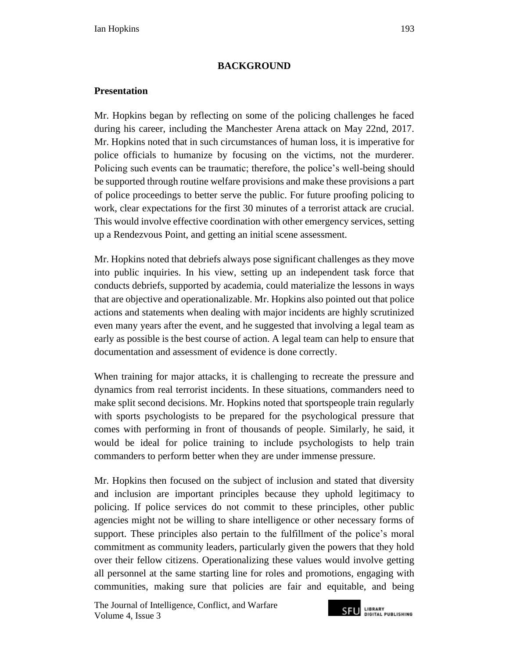### **BACKGROUND**

#### **Presentation**

Mr. Hopkins began by reflecting on some of the policing challenges he faced during his career, including the Manchester Arena attack on May 22nd, 2017. Mr. Hopkins noted that in such circumstances of human loss, it is imperative for police officials to humanize by focusing on the victims, not the murderer. Policing such events can be traumatic; therefore, the police's well-being should be supported through routine welfare provisions and make these provisions a part of police proceedings to better serve the public. For future proofing policing to work, clear expectations for the first 30 minutes of a terrorist attack are crucial. This would involve effective coordination with other emergency services, setting up a Rendezvous Point, and getting an initial scene assessment.

Mr. Hopkins noted that debriefs always pose significant challenges as they move into public inquiries. In his view, setting up an independent task force that conducts debriefs, supported by academia, could materialize the lessons in ways that are objective and operationalizable. Mr. Hopkins also pointed out that police actions and statements when dealing with major incidents are highly scrutinized even many years after the event, and he suggested that involving a legal team as early as possible is the best course of action. A legal team can help to ensure that documentation and assessment of evidence is done correctly.

When training for major attacks, it is challenging to recreate the pressure and dynamics from real terrorist incidents. In these situations, commanders need to make split second decisions. Mr. Hopkins noted that sportspeople train regularly with sports psychologists to be prepared for the psychological pressure that comes with performing in front of thousands of people. Similarly, he said, it would be ideal for police training to include psychologists to help train commanders to perform better when they are under immense pressure.

Mr. Hopkins then focused on the subject of inclusion and stated that diversity and inclusion are important principles because they uphold legitimacy to policing. If police services do not commit to these principles, other public agencies might not be willing to share intelligence or other necessary forms of support. These principles also pertain to the fulfillment of the police's moral commitment as community leaders, particularly given the powers that they hold over their fellow citizens. Operationalizing these values would involve getting all personnel at the same starting line for roles and promotions, engaging with communities, making sure that policies are fair and equitable, and being

The Journal of Intelligence, Conflict*,* and Warfare Volume 4, Issue 3

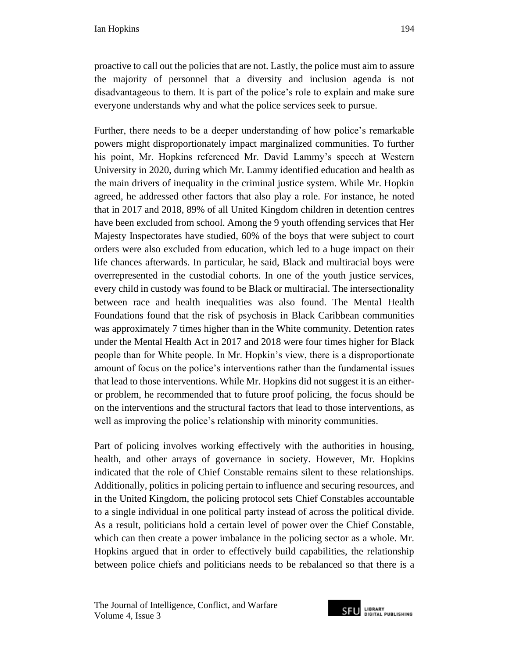proactive to call out the policies that are not. Lastly, the police must aim to assure the majority of personnel that a diversity and inclusion agenda is not disadvantageous to them. It is part of the police's role to explain and make sure everyone understands why and what the police services seek to pursue.

Further, there needs to be a deeper understanding of how police's remarkable powers might disproportionately impact marginalized communities. To further his point, Mr. Hopkins referenced Mr. David Lammy's speech at Western University in 2020, during which Mr. Lammy identified education and health as the main drivers of inequality in the criminal justice system. While Mr. Hopkin agreed, he addressed other factors that also play a role. For instance, he noted that in 2017 and 2018, 89% of all United Kingdom children in detention centres have been excluded from school. Among the 9 youth offending services that Her Majesty Inspectorates have studied, 60% of the boys that were subject to court orders were also excluded from education, which led to a huge impact on their life chances afterwards. In particular, he said, Black and multiracial boys were overrepresented in the custodial cohorts. In one of the youth justice services, every child in custody was found to be Black or multiracial. The intersectionality between race and health inequalities was also found. The Mental Health Foundations found that the risk of psychosis in Black Caribbean communities was approximately 7 times higher than in the White community. Detention rates under the Mental Health Act in 2017 and 2018 were four times higher for Black people than for White people. In Mr. Hopkin's view, there is a disproportionate amount of focus on the police's interventions rather than the fundamental issues that lead to those interventions. While Mr. Hopkins did not suggest it is an eitheror problem, he recommended that to future proof policing, the focus should be on the interventions and the structural factors that lead to those interventions, as well as improving the police's relationship with minority communities.

Part of policing involves working effectively with the authorities in housing, health, and other arrays of governance in society. However, Mr. Hopkins indicated that the role of Chief Constable remains silent to these relationships. Additionally, politics in policing pertain to influence and securing resources, and in the United Kingdom, the policing protocol sets Chief Constables accountable to a single individual in one political party instead of across the political divide. As a result, politicians hold a certain level of power over the Chief Constable, which can then create a power imbalance in the policing sector as a whole. Mr. Hopkins argued that in order to effectively build capabilities, the relationship between police chiefs and politicians needs to be rebalanced so that there is a

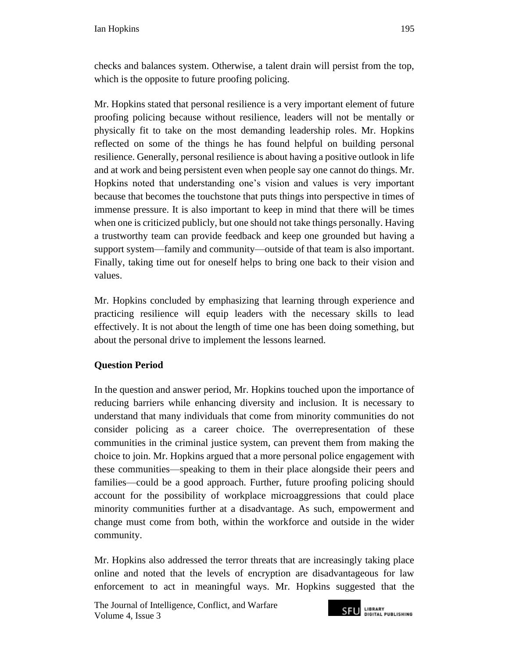checks and balances system. Otherwise, a talent drain will persist from the top, which is the opposite to future proofing policing.

Mr. Hopkins stated that personal resilience is a very important element of future proofing policing because without resilience, leaders will not be mentally or physically fit to take on the most demanding leadership roles. Mr. Hopkins reflected on some of the things he has found helpful on building personal resilience. Generally, personal resilience is about having a positive outlook in life and at work and being persistent even when people say one cannot do things. Mr. Hopkins noted that understanding one's vision and values is very important because that becomes the touchstone that puts things into perspective in times of immense pressure. It is also important to keep in mind that there will be times when one is criticized publicly, but one should not take things personally. Having a trustworthy team can provide feedback and keep one grounded but having a support system—family and community—outside of that team is also important. Finally, taking time out for oneself helps to bring one back to their vision and values.

Mr. Hopkins concluded by emphasizing that learning through experience and practicing resilience will equip leaders with the necessary skills to lead effectively. It is not about the length of time one has been doing something, but about the personal drive to implement the lessons learned.

### **Question Period**

In the question and answer period, Mr. Hopkins touched upon the importance of reducing barriers while enhancing diversity and inclusion. It is necessary to understand that many individuals that come from minority communities do not consider policing as a career choice. The overrepresentation of these communities in the criminal justice system, can prevent them from making the choice to join. Mr. Hopkins argued that a more personal police engagement with these communities—speaking to them in their place alongside their peers and families—could be a good approach. Further, future proofing policing should account for the possibility of workplace microaggressions that could place minority communities further at a disadvantage. As such, empowerment and change must come from both, within the workforce and outside in the wider community.

Mr. Hopkins also addressed the terror threats that are increasingly taking place online and noted that the levels of encryption are disadvantageous for law enforcement to act in meaningful ways. Mr. Hopkins suggested that the

The Journal of Intelligence, Conflict*,* and Warfare Volume 4, Issue 3

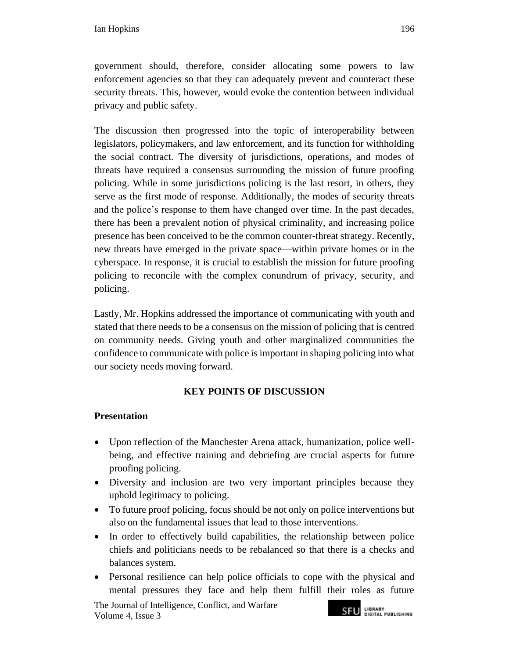government should, therefore, consider allocating some powers to law enforcement agencies so that they can adequately prevent and counteract these security threats. This, however, would evoke the contention between individual privacy and public safety.

The discussion then progressed into the topic of interoperability between legislators, policymakers, and law enforcement, and its function for withholding the social contract. The diversity of jurisdictions, operations, and modes of threats have required a consensus surrounding the mission of future proofing policing. While in some jurisdictions policing is the last resort, in others, they serve as the first mode of response. Additionally, the modes of security threats and the police's response to them have changed over time. In the past decades, there has been a prevalent notion of physical criminality, and increasing police presence has been conceived to be the common counter-threat strategy. Recently, new threats have emerged in the private space—within private homes or in the cyberspace. In response, it is crucial to establish the mission for future proofing policing to reconcile with the complex conundrum of privacy, security, and policing.

Lastly, Mr. Hopkins addressed the importance of communicating with youth and stated that there needs to be a consensus on the mission of policing that is centred on community needs. Giving youth and other marginalized communities the confidence to communicate with police is important in shaping policing into what our society needs moving forward.

# **KEY POINTS OF DISCUSSION**

### **Presentation**

- Upon reflection of the Manchester Arena attack, humanization, police wellbeing, and effective training and debriefing are crucial aspects for future proofing policing.
- Diversity and inclusion are two very important principles because they uphold legitimacy to policing.
- To future proof policing, focus should be not only on police interventions but also on the fundamental issues that lead to those interventions.
- In order to effectively build capabilities, the relationship between police chiefs and politicians needs to be rebalanced so that there is a checks and balances system.
- Personal resilience can help police officials to cope with the physical and mental pressures they face and help them fulfill their roles as future

The Journal of Intelligence, Conflict*,* and Warfare Volume 4, Issue 3